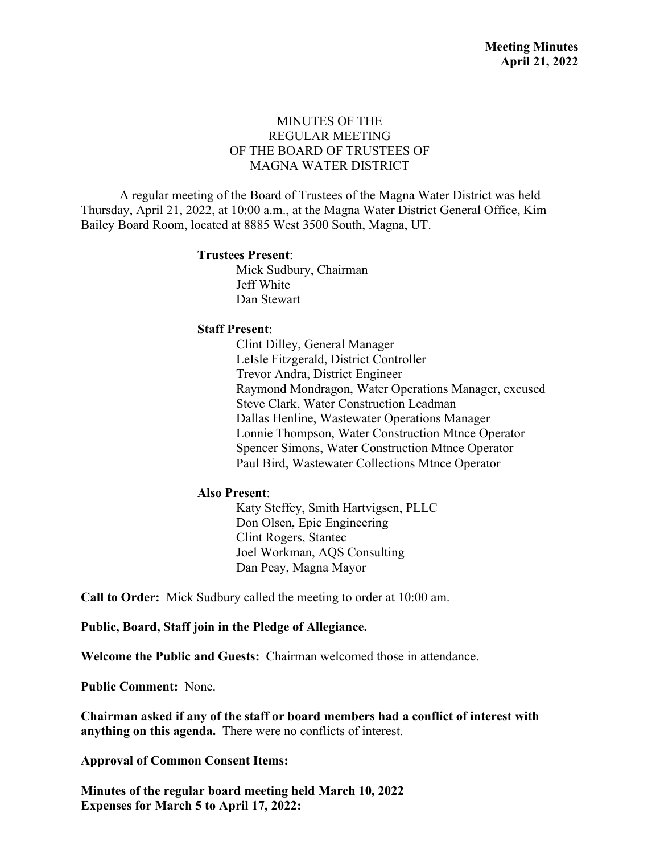## MINUTES OF THE REGULAR MEETING OF THE BOARD OF TRUSTEES OF MAGNA WATER DISTRICT

A regular meeting of the Board of Trustees of the Magna Water District was held Thursday, April 21, 2022, at 10:00 a.m., at the Magna Water District General Office, Kim Bailey Board Room, located at 8885 West 3500 South, Magna, UT.

#### **Trustees Present**:

Mick Sudbury, Chairman Jeff White Dan Stewart

#### **Staff Present**:

Clint Dilley, General Manager LeIsle Fitzgerald, District Controller Trevor Andra, District Engineer Raymond Mondragon, Water Operations Manager, excused Steve Clark, Water Construction Leadman Dallas Henline, Wastewater Operations Manager Lonnie Thompson, Water Construction Mtnce Operator Spencer Simons, Water Construction Mtnce Operator Paul Bird, Wastewater Collections Mtnce Operator

#### **Also Present**:

Katy Steffey, Smith Hartvigsen, PLLC Don Olsen, Epic Engineering Clint Rogers, Stantec Joel Workman, AQS Consulting Dan Peay, Magna Mayor

**Call to Order:** Mick Sudbury called the meeting to order at 10:00 am.

**Public, Board, Staff join in the Pledge of Allegiance.**

**Welcome the Public and Guests:** Chairman welcomed those in attendance.

**Public Comment:** None.

**Chairman asked if any of the staff or board members had a conflict of interest with anything on this agenda.** There were no conflicts of interest.

**Approval of Common Consent Items:**

**Minutes of the regular board meeting held March 10, 2022 Expenses for March 5 to April 17, 2022:**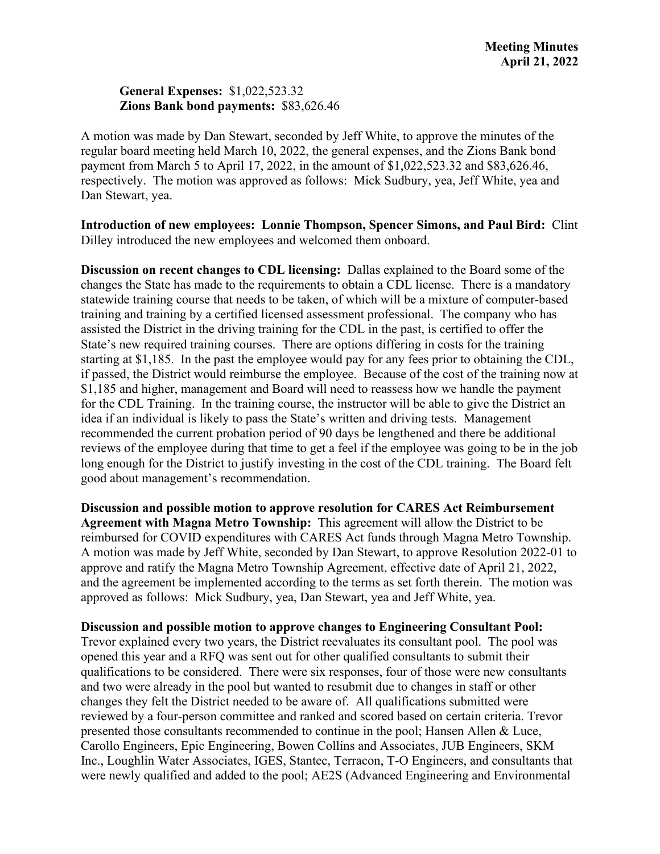### **General Expenses:** \$1,022,523.32 **Zions Bank bond payments:** \$83,626.46

A motion was made by Dan Stewart, seconded by Jeff White, to approve the minutes of the regular board meeting held March 10, 2022, the general expenses, and the Zions Bank bond payment from March 5 to April 17, 2022, in the amount of \$1,022,523.32 and \$83,626.46, respectively. The motion was approved as follows: Mick Sudbury, yea, Jeff White, yea and Dan Stewart, yea.

**Introduction of new employees: Lonnie Thompson, Spencer Simons, and Paul Bird:** Clint Dilley introduced the new employees and welcomed them onboard.

**Discussion on recent changes to CDL licensing:** Dallas explained to the Board some of the changes the State has made to the requirements to obtain a CDL license. There is a mandatory statewide training course that needs to be taken, of which will be a mixture of computer-based training and training by a certified licensed assessment professional. The company who has assisted the District in the driving training for the CDL in the past, is certified to offer the State's new required training courses. There are options differing in costs for the training starting at \$1,185. In the past the employee would pay for any fees prior to obtaining the CDL, if passed, the District would reimburse the employee. Because of the cost of the training now at \$1,185 and higher, management and Board will need to reassess how we handle the payment for the CDL Training. In the training course, the instructor will be able to give the District an idea if an individual is likely to pass the State's written and driving tests. Management recommended the current probation period of 90 days be lengthened and there be additional reviews of the employee during that time to get a feel if the employee was going to be in the job long enough for the District to justify investing in the cost of the CDL training. The Board felt good about management's recommendation.

**Discussion and possible motion to approve resolution for CARES Act Reimbursement Agreement with Magna Metro Township:** This agreement will allow the District to be reimbursed for COVID expenditures with CARES Act funds through Magna Metro Township. A motion was made by Jeff White, seconded by Dan Stewart, to approve Resolution 2022-01 to approve and ratify the Magna Metro Township Agreement, effective date of April 21, 2022, and the agreement be implemented according to the terms as set forth therein. The motion was approved as follows: Mick Sudbury, yea, Dan Stewart, yea and Jeff White, yea.

**Discussion and possible motion to approve changes to Engineering Consultant Pool:**

Trevor explained every two years, the District reevaluates its consultant pool. The pool was opened this year and a RFQ was sent out for other qualified consultants to submit their qualifications to be considered. There were six responses, four of those were new consultants and two were already in the pool but wanted to resubmit due to changes in staff or other changes they felt the District needed to be aware of. All qualifications submitted were reviewed by a four-person committee and ranked and scored based on certain criteria. Trevor presented those consultants recommended to continue in the pool; Hansen Allen & Luce, Carollo Engineers, Epic Engineering, Bowen Collins and Associates, JUB Engineers, SKM Inc., Loughlin Water Associates, IGES, Stantec, Terracon, T-O Engineers, and consultants that were newly qualified and added to the pool; AE2S (Advanced Engineering and Environmental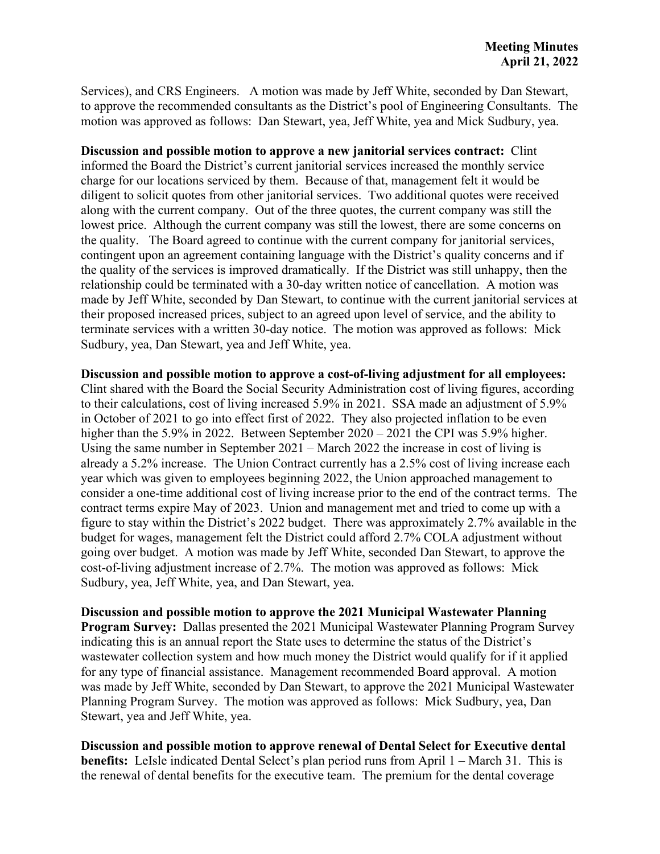Services), and CRS Engineers. A motion was made by Jeff White, seconded by Dan Stewart, to approve the recommended consultants as the District's pool of Engineering Consultants. The motion was approved as follows: Dan Stewart, yea, Jeff White, yea and Mick Sudbury, yea.

**Discussion and possible motion to approve a new janitorial services contract:** Clint informed the Board the District's current janitorial services increased the monthly service charge for our locations serviced by them. Because of that, management felt it would be diligent to solicit quotes from other janitorial services. Two additional quotes were received along with the current company. Out of the three quotes, the current company was still the lowest price. Although the current company was still the lowest, there are some concerns on the quality. The Board agreed to continue with the current company for janitorial services, contingent upon an agreement containing language with the District's quality concerns and if the quality of the services is improved dramatically. If the District was still unhappy, then the relationship could be terminated with a 30-day written notice of cancellation. A motion was made by Jeff White, seconded by Dan Stewart, to continue with the current janitorial services at their proposed increased prices, subject to an agreed upon level of service, and the ability to terminate services with a written 30-day notice. The motion was approved as follows: Mick Sudbury, yea, Dan Stewart, yea and Jeff White, yea.

**Discussion and possible motion to approve a cost-of-living adjustment for all employees:**  Clint shared with the Board the Social Security Administration cost of living figures, according to their calculations, cost of living increased 5.9% in 2021. SSA made an adjustment of 5.9% in October of 2021 to go into effect first of 2022. They also projected inflation to be even higher than the 5.9% in 2022. Between September 2020 – 2021 the CPI was 5.9% higher. Using the same number in September 2021 – March 2022 the increase in cost of living is already a 5.2% increase. The Union Contract currently has a 2.5% cost of living increase each year which was given to employees beginning 2022, the Union approached management to consider a one-time additional cost of living increase prior to the end of the contract terms. The contract terms expire May of 2023. Union and management met and tried to come up with a figure to stay within the District's 2022 budget. There was approximately 2.7% available in the budget for wages, management felt the District could afford 2.7% COLA adjustment without going over budget. A motion was made by Jeff White, seconded Dan Stewart, to approve the cost-of-living adjustment increase of 2.7%. The motion was approved as follows: Mick Sudbury, yea, Jeff White, yea, and Dan Stewart, yea.

**Discussion and possible motion to approve the 2021 Municipal Wastewater Planning Program Survey:** Dallas presented the 2021 Municipal Wastewater Planning Program Survey indicating this is an annual report the State uses to determine the status of the District's wastewater collection system and how much money the District would qualify for if it applied for any type of financial assistance. Management recommended Board approval. A motion was made by Jeff White, seconded by Dan Stewart, to approve the 2021 Municipal Wastewater Planning Program Survey. The motion was approved as follows: Mick Sudbury, yea, Dan Stewart, yea and Jeff White, yea.

**Discussion and possible motion to approve renewal of Dental Select for Executive dental benefits:** LeIsle indicated Dental Select's plan period runs from April 1 – March 31. This is the renewal of dental benefits for the executive team. The premium for the dental coverage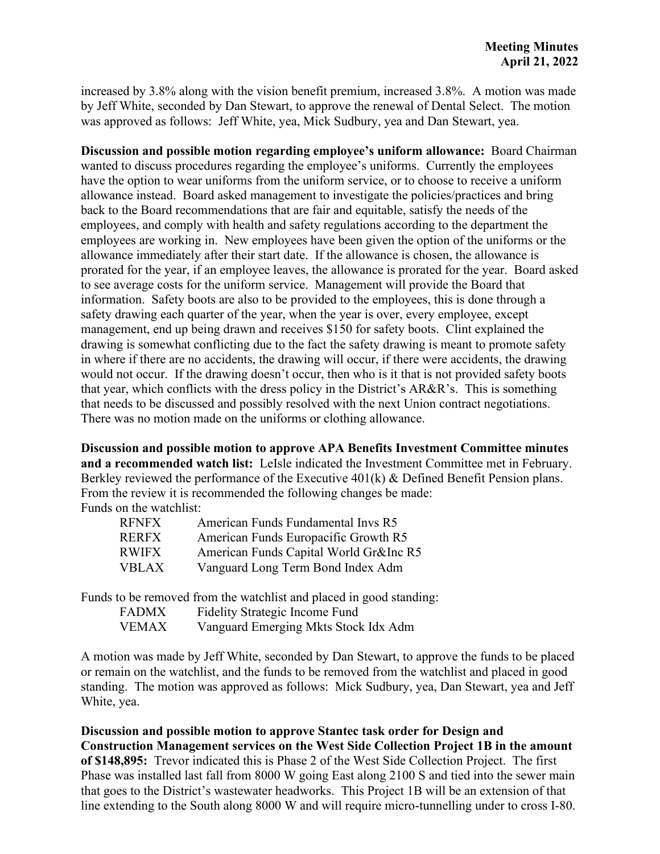increased by 3.8% along with the vision benefit premium, increased 3.8%. A motion was made by Jeff White, seconded by Dan Stewart, to approve the renewal of Dental Select. The motion was approved as follows: Jeff White, yea, Mick Sudbury, yea and Dan Stewart, yea.

**Discussion and possible motion regarding employee's uniform allowance:** Board Chairman wanted to discuss procedures regarding the employee's uniforms. Currently the employees have the option to wear uniforms from the uniform service, or to choose to receive a uniform allowance instead. Board asked management to investigate the policies/practices and bring back to the Board recommendations that are fair and equitable, satisfy the needs of the employees, and comply with health and safety regulations according to the department the employees are working in. New employees have been given the option of the uniforms or the allowance immediately after their start date. If the allowance is chosen, the allowance is prorated for the year, if an employee leaves, the allowance is prorated for the year. Board asked to see average costs for the uniform service. Management will provide the Board that information. Safety boots are also to be provided to the employees, this is done through a safety drawing each quarter of the year, when the year is over, every employee, except management, end up being drawn and receives \$150 for safety boots. Clint explained the drawing is somewhat conflicting due to the fact the safety drawing is meant to promote safety in where if there are no accidents, the drawing will occur, if there were accidents, the drawing would not occur. If the drawing doesn't occur, then who is it that is not provided safety boots that year, which conflicts with the dress policy in the District's AR&R's. This is something that needs to be discussed and possibly resolved with the next Union contract negotiations. There was no motion made on the uniforms or clothing allowance.

**Discussion and possible motion to approve APA Benefits Investment Committee minutes and a recommended watch list:** LeIsle indicated the Investment Committee met in February. Berkley reviewed the performance of the Executive 401(k) & Defined Benefit Pension plans. From the review it is recommended the following changes be made: Funds on the watchlist:

| <b>RENEX</b> | American Funds Fundamental Invs R5     |
|--------------|----------------------------------------|
| <b>RERFX</b> | American Funds Europacific Growth R5   |
| <b>RWIFX</b> | American Funds Capital World Gr&Inc R5 |
| <b>VBLAX</b> | Vanguard Long Term Bond Index Adm      |

Funds to be removed from the watchlist and placed in good standing:

| <b>FADMX</b> | <b>Fidelity Strategic Income Fund</b> |
|--------------|---------------------------------------|
| <b>VEMAX</b> | Vanguard Emerging Mkts Stock Idx Adm  |

A motion was made by Jeff White, seconded by Dan Stewart, to approve the funds to be placed or remain on the watchlist, and the funds to be removed from the watchlist and placed in good standing. The motion was approved as follows: Mick Sudbury, yea, Dan Stewart, yea and Jeff White, yea.

**Discussion and possible motion to approve Stantec task order for Design and Construction Management services on the West Side Collection Project 1B in the amount of \$148,895:** Trevor indicated this is Phase 2 of the West Side Collection Project. The first Phase was installed last fall from 8000 W going East along 2100 S and tied into the sewer main that goes to the District's wastewater headworks. This Project 1B will be an extension of that line extending to the South along 8000 W and will require micro-tunnelling under to cross I-80.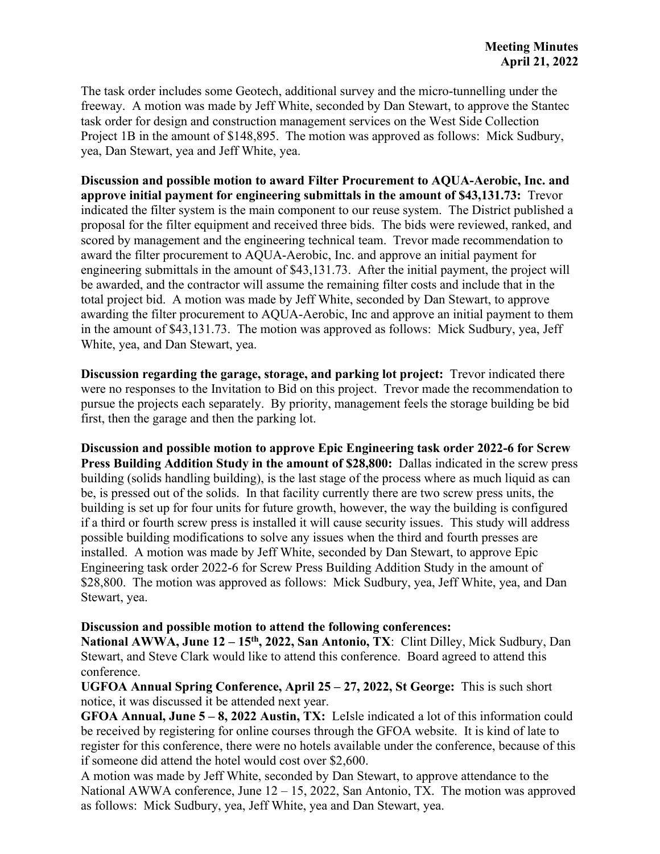The task order includes some Geotech, additional survey and the micro-tunnelling under the freeway. A motion was made by Jeff White, seconded by Dan Stewart, to approve the Stantec task order for design and construction management services on the West Side Collection Project 1B in the amount of \$148,895. The motion was approved as follows: Mick Sudbury, yea, Dan Stewart, yea and Jeff White, yea.

**Discussion and possible motion to award Filter Procurement to AQUA-Aerobic, Inc. and approve initial payment for engineering submittals in the amount of \$43,131.73:** Trevor indicated the filter system is the main component to our reuse system. The District published a proposal for the filter equipment and received three bids. The bids were reviewed, ranked, and scored by management and the engineering technical team. Trevor made recommendation to award the filter procurement to AQUA-Aerobic, Inc. and approve an initial payment for engineering submittals in the amount of \$43,131.73. After the initial payment, the project will be awarded, and the contractor will assume the remaining filter costs and include that in the total project bid. A motion was made by Jeff White, seconded by Dan Stewart, to approve awarding the filter procurement to AQUA-Aerobic, Inc and approve an initial payment to them in the amount of \$43,131.73. The motion was approved as follows: Mick Sudbury, yea, Jeff White, yea, and Dan Stewart, yea.

**Discussion regarding the garage, storage, and parking lot project:** Trevor indicated there were no responses to the Invitation to Bid on this project. Trevor made the recommendation to pursue the projects each separately. By priority, management feels the storage building be bid first, then the garage and then the parking lot.

**Discussion and possible motion to approve Epic Engineering task order 2022-6 for Screw Press Building Addition Study in the amount of \$28,800:** Dallas indicated in the screw press building (solids handling building), is the last stage of the process where as much liquid as can be, is pressed out of the solids. In that facility currently there are two screw press units, the building is set up for four units for future growth, however, the way the building is configured if a third or fourth screw press is installed it will cause security issues. This study will address possible building modifications to solve any issues when the third and fourth presses are installed. A motion was made by Jeff White, seconded by Dan Stewart, to approve Epic Engineering task order 2022-6 for Screw Press Building Addition Study in the amount of \$28,800. The motion was approved as follows: Mick Sudbury, yea, Jeff White, yea, and Dan Stewart, yea.

### **Discussion and possible motion to attend the following conferences:**

National AWWA, June 12 – 15<sup>th</sup>, 2022, San Antonio, TX: Clint Dilley, Mick Sudbury, Dan Stewart, and Steve Clark would like to attend this conference. Board agreed to attend this conference.

**UGFOA Annual Spring Conference, April 25 – 27, 2022, St George:** This is such short notice, it was discussed it be attended next year.

**GFOA Annual, June 5 – 8, 2022 Austin, TX:** LeIsle indicated a lot of this information could be received by registering for online courses through the GFOA website. It is kind of late to register for this conference, there were no hotels available under the conference, because of this if someone did attend the hotel would cost over \$2,600.

A motion was made by Jeff White, seconded by Dan Stewart, to approve attendance to the National AWWA conference, June  $12 - 15$ , 2022, San Antonio, TX. The motion was approved as follows: Mick Sudbury, yea, Jeff White, yea and Dan Stewart, yea.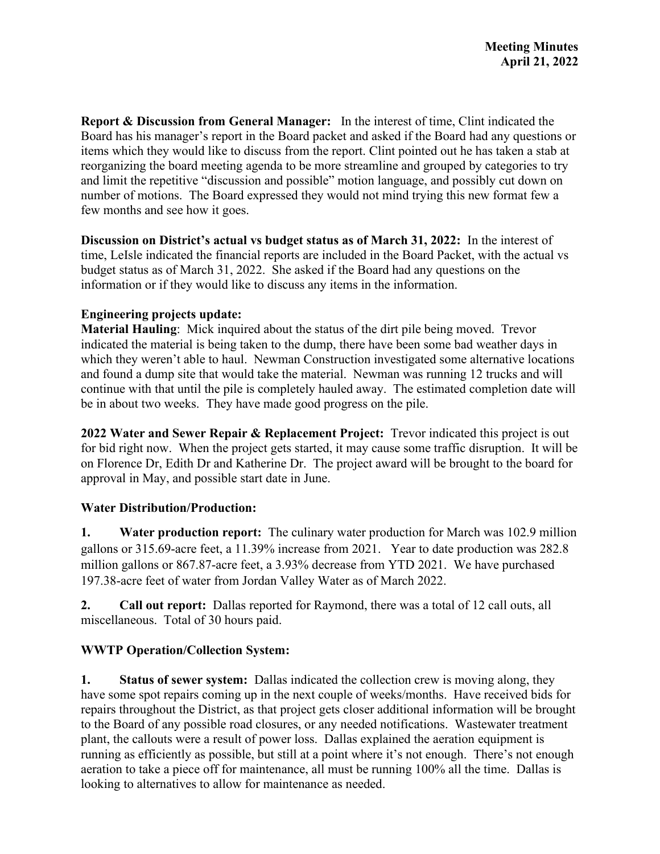**Report & Discussion from General Manager:** In the interest of time, Clint indicated the Board has his manager's report in the Board packet and asked if the Board had any questions or items which they would like to discuss from the report. Clint pointed out he has taken a stab at reorganizing the board meeting agenda to be more streamline and grouped by categories to try and limit the repetitive "discussion and possible" motion language, and possibly cut down on number of motions. The Board expressed they would not mind trying this new format few a few months and see how it goes.

**Discussion on District's actual vs budget status as of March 31, 2022:** In the interest of time, LeIsle indicated the financial reports are included in the Board Packet, with the actual vs budget status as of March 31, 2022. She asked if the Board had any questions on the information or if they would like to discuss any items in the information.

## **Engineering projects update:**

**Material Hauling**: Mick inquired about the status of the dirt pile being moved. Trevor indicated the material is being taken to the dump, there have been some bad weather days in which they weren't able to haul. Newman Construction investigated some alternative locations and found a dump site that would take the material. Newman was running 12 trucks and will continue with that until the pile is completely hauled away. The estimated completion date will be in about two weeks. They have made good progress on the pile.

**2022 Water and Sewer Repair & Replacement Project:** Trevor indicated this project is out for bid right now. When the project gets started, it may cause some traffic disruption. It will be on Florence Dr, Edith Dr and Katherine Dr. The project award will be brought to the board for approval in May, and possible start date in June.

# **Water Distribution/Production:**

**1. Water production report:** The culinary water production for March was 102.9 million gallons or 315.69-acre feet, a 11.39% increase from 2021. Year to date production was 282.8 million gallons or 867.87-acre feet, a 3.93% decrease from YTD 2021. We have purchased 197.38-acre feet of water from Jordan Valley Water as of March 2022.

**2. Call out report:** Dallas reported for Raymond, there was a total of 12 call outs, all miscellaneous. Total of 30 hours paid.

# **WWTP Operation/Collection System:**

**1. Status of sewer system:** Dallas indicated the collection crew is moving along, they have some spot repairs coming up in the next couple of weeks/months. Have received bids for repairs throughout the District, as that project gets closer additional information will be brought to the Board of any possible road closures, or any needed notifications. Wastewater treatment plant, the callouts were a result of power loss. Dallas explained the aeration equipment is running as efficiently as possible, but still at a point where it's not enough. There's not enough aeration to take a piece off for maintenance, all must be running 100% all the time. Dallas is looking to alternatives to allow for maintenance as needed.